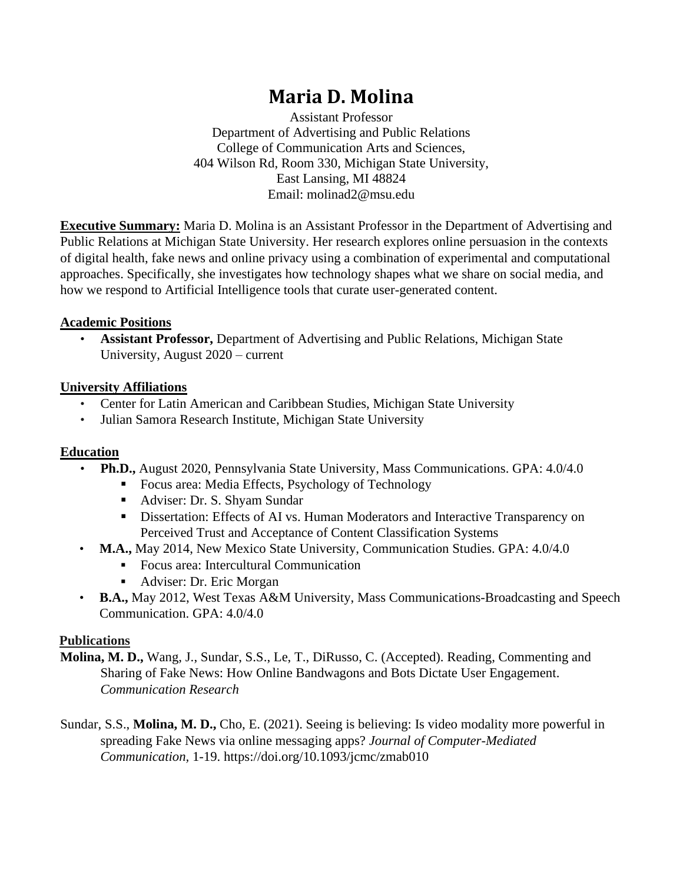# **Maria D. Molina**

Assistant Professor Department of Advertising and Public Relations College of Communication Arts and Sciences, 404 Wilson Rd, Room 330, Michigan State University, East Lansing, MI 48824 Email: molinad2@msu.edu

**Executive Summary:** Maria D. Molina is an Assistant Professor in the Department of Advertising and Public Relations at Michigan State University. Her research explores online persuasion in the contexts of digital health, fake news and online privacy using a combination of experimental and computational approaches. Specifically, she investigates how technology shapes what we share on social media, and how we respond to Artificial Intelligence tools that curate user-generated content.

#### **Academic Positions**

• **Assistant Professor,** Department of Advertising and Public Relations, Michigan State University, August 2020 – current

#### **University Affiliations**

- Center for Latin American and Caribbean Studies, Michigan State University
- Julian Samora Research Institute, Michigan State University

## **Education**

- **Ph.D.,** August 2020, Pennsylvania State University, Mass Communications. GPA: 4.0/4.0
	- Focus area: Media Effects, Psychology of Technology
	- Adviser: Dr. S. Shyam Sundar
	- Dissertation: Effects of AI vs. Human Moderators and Interactive Transparency on Perceived Trust and Acceptance of Content Classification Systems
- **M.A.,** May 2014, New Mexico State University, Communication Studies. GPA: 4.0/4.0
	- Focus area: Intercultural Communication
	- Adviser: Dr. Eric Morgan
- **B.A.,** May 2012, West Texas A&M University, Mass Communications-Broadcasting and Speech Communication. GPA: 4.0/4.0

## **Publications**

- **Molina, M. D.,** Wang, J., Sundar, S.S., Le, T., DiRusso, C. (Accepted). Reading, Commenting and Sharing of Fake News: How Online Bandwagons and Bots Dictate User Engagement. *Communication Research*
- Sundar, S.S., **Molina, M. D.,** Cho, E. (2021). Seeing is believing: Is video modality more powerful in spreading Fake News via online messaging apps? *Journal of Computer-Mediated Communication,* 1-19. https://doi.org/10.1093/jcmc/zmab010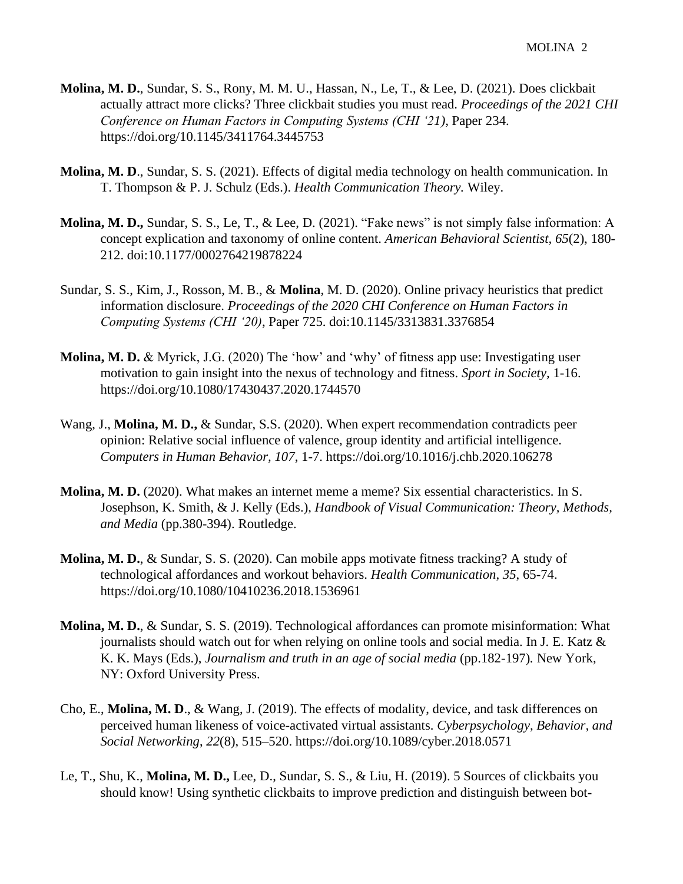- **Molina, M. D.**, Sundar, S. S., Rony, M. M. U., Hassan, N., Le, T., & Lee, D. (2021). Does clickbait actually attract more clicks? Three clickbait studies you must read. *Proceedings of the 2021 CHI Conference on Human Factors in Computing Systems (CHI '21), Paper 234.* https://doi.org/10.1145/3411764.3445753
- **Molina, M. D**., Sundar, S. S. (2021). Effects of digital media technology on health communication. In T. Thompson & P. J. Schulz (Eds.). *Health Communication Theory.* Wiley.
- **Molina, M. D.,** Sundar, S. S., Le, T., & Lee, D. (2021). "Fake news" is not simply false information: A concept explication and taxonomy of online content. *American Behavioral Scientist, 65*(2), 180- 212. doi:10.1177/0002764219878224
- Sundar, S. S., Kim, J., Rosson, M. B., & **Molina**, M. D. (2020). Online privacy heuristics that predict information disclosure. *Proceedings of the 2020 CHI Conference on Human Factors in Computing Systems (CHI '20)*, Paper 725. doi:10.1145/3313831.3376854
- **Molina, M. D.** & Myrick, J.G. (2020) The 'how' and 'why' of fitness app use: Investigating user motivation to gain insight into the nexus of technology and fitness. *Sport in Society,* 1-16. https://doi.org/10.1080/17430437.2020.1744570
- Wang, J., **Molina, M. D.,** & Sundar, S.S. (2020). When expert recommendation contradicts peer opinion: Relative social influence of valence, group identity and artificial intelligence. *Computers in Human Behavior, 107*, 1-7. https://doi.org/10.1016/j.chb.2020.106278
- **Molina, M. D.** (2020). What makes an internet meme a meme? Six essential characteristics. In S. Josephson, K. Smith, & J. Kelly (Eds.), *Handbook of Visual Communication: Theory, Methods, and Media* (pp.380-394). Routledge.
- **Molina, M. D.**, & Sundar, S. S. (2020). Can mobile apps motivate fitness tracking? A study of technological affordances and workout behaviors. *Health Communication, 35*, 65-74. https://doi.org/10.1080/10410236.2018.1536961
- **Molina, M. D.**, & Sundar, S. S. (2019). Technological affordances can promote misinformation: What journalists should watch out for when relying on online tools and social media. In J. E. Katz  $\&$ K. K. Mays (Eds.), *Journalism and truth in an age of social media* (pp.182-197)*.* New York, NY: Oxford University Press.
- Cho, E., **Molina, M. D**., & Wang, J. (2019). The effects of modality, device, and task differences on perceived human likeness of voice-activated virtual assistants. *Cyberpsychology, Behavior, and Social Networking*, *22*(8), 515–520. https://doi.org/10.1089/cyber.2018.0571
- Le, T., Shu, K., **Molina, M. D.,** Lee, D., Sundar, S. S., & Liu, H. (2019). 5 Sources of clickbaits you should know! Using synthetic clickbaits to improve prediction and distinguish between bot-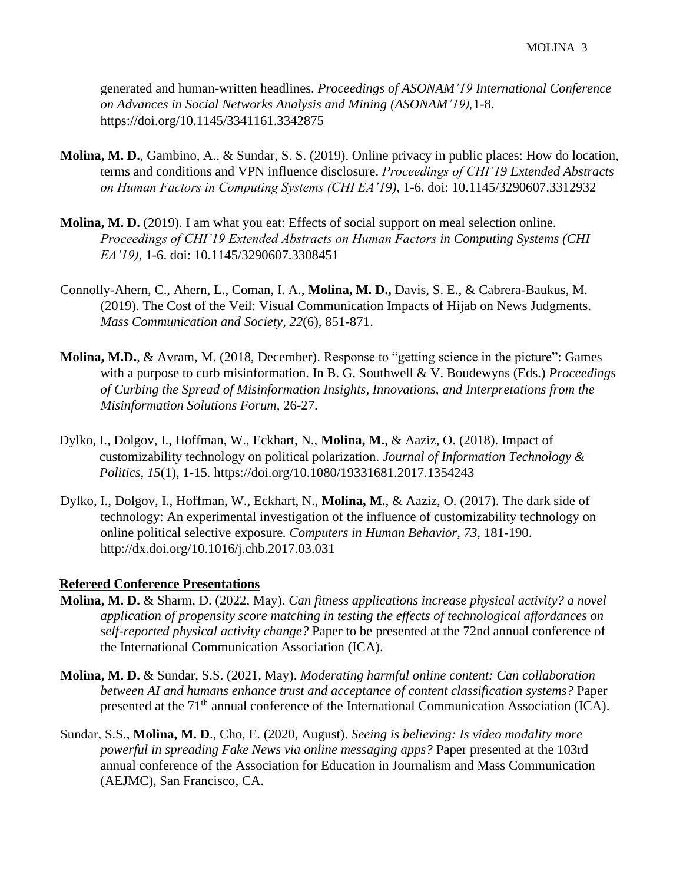generated and human-written headlines. *Proceedings of ASONAM'19 International Conference on Advances in Social Networks Analysis and Mining (ASONAM'19),*1-8. https://doi.org/10.1145/3341161.3342875

- **Molina, M. D.**, Gambino, A., & Sundar, S. S. (2019). Online privacy in public places: How do location, terms and conditions and VPN influence disclosure. *Proceedings of CHI'19 Extended Abstracts on Human Factors in Computing Systems (CHI EA'19),* 1-6. doi: 10.1145/3290607.3312932
- **Molina, M. D.** (2019). I am what you eat: Effects of social support on meal selection online. *Proceedings of CHI'19 Extended Abstracts on Human Factors in Computing Systems (CHI EA'19)*, 1-6. doi: 10.1145/3290607.3308451
- Connolly-Ahern, C., Ahern, L., Coman, I. A., **Molina, M. D.,** Davis, S. E., & Cabrera-Baukus, M. (2019). The Cost of the Veil: Visual Communication Impacts of Hijab on News Judgments. *Mass Communication and Society, 22*(6), 851-871.
- **Molina, M.D.**, & Avram, M. (2018, December). Response to "getting science in the picture": Games with a purpose to curb misinformation. In B. G. Southwell & V. Boudewyns (Eds.) *Proceedings of Curbing the Spread of Misinformation Insights, Innovations, and Interpretations from the Misinformation Solutions Forum,* 26-27.
- Dylko, I., Dolgov, I., Hoffman, W., Eckhart, N., **Molina, M.**, & Aaziz, O. (2018). Impact of customizability technology on political polarization. *Journal of Information Technology & Politics*, *15*(1), 1-15*.* https://doi.org/10.1080/19331681.2017.1354243
- Dylko, I., Dolgov, I., Hoffman, W., Eckhart, N., **Molina, M.**, & Aaziz, O. (2017). The dark side of technology: An experimental investigation of the influence of customizability technology on online political selective exposure*. Computers in Human Behavior, 73,* 181-190. http://dx.doi.org/10.1016/j.chb.2017.03.031

#### **Refereed Conference Presentations**

- **Molina, M. D.** & Sharm, D. (2022, May). *Can fitness applications increase physical activity? a novel application of propensity score matching in testing the effects of technological affordances on self-reported physical activity change?* Paper to be presented at the 72nd annual conference of the International Communication Association (ICA).
- **Molina, M. D.** & Sundar, S.S. (2021, May). *Moderating harmful online content: Can collaboration between AI and humans enhance trust and acceptance of content classification systems?* Paper presented at the  $71<sup>th</sup>$  annual conference of the International Communication Association (ICA).
- Sundar, S.S., **Molina, M. D**., Cho, E. (2020, August). *Seeing is believing: Is video modality more powerful in spreading Fake News via online messaging apps?* Paper presented at the 103rd annual conference of the Association for Education in Journalism and Mass Communication (AEJMC), San Francisco, CA.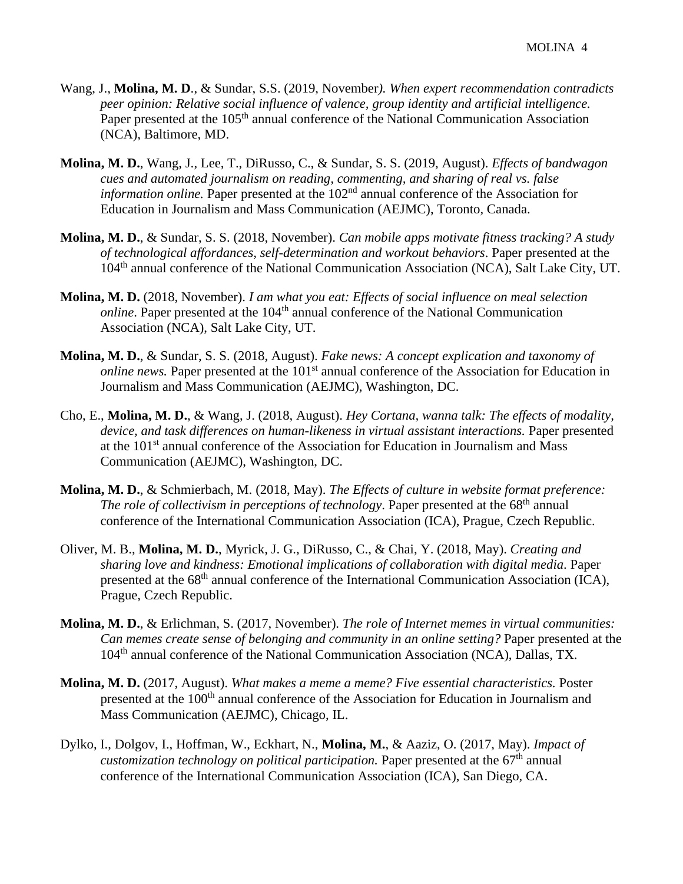- Wang, J., **Molina, M. D**., & Sundar, S.S. (2019, November*). When expert recommendation contradicts peer opinion: Relative social influence of valence, group identity and artificial intelligence.*  Paper presented at the 105<sup>th</sup> annual conference of the National Communication Association (NCA), Baltimore, MD.
- **Molina, M. D.**, Wang, J., Lee, T., DiRusso, C., & Sundar, S. S. (2019, August). *Effects of bandwagon cues and automated journalism on reading, commenting, and sharing of real vs. false information online.* Paper presented at the 102<sup>nd</sup> annual conference of the Association for Education in Journalism and Mass Communication (AEJMC), Toronto, Canada.
- **Molina, M. D.**, & Sundar, S. S. (2018, November). *Can mobile apps motivate fitness tracking? A study of technological affordances, self-determination and workout behaviors*. Paper presented at the 104th annual conference of the National Communication Association (NCA), Salt Lake City, UT.
- **Molina, M. D.** (2018, November). *I am what you eat: Effects of social influence on meal selection online*. Paper presented at the 104<sup>th</sup> annual conference of the National Communication Association (NCA), Salt Lake City, UT.
- **Molina, M. D.**, & Sundar, S. S. (2018, August). *Fake news: A concept explication and taxonomy of online news.* Paper presented at the 101<sup>st</sup> annual conference of the Association for Education in Journalism and Mass Communication (AEJMC), Washington, DC.
- Cho, E., **Molina, M. D.**, & Wang, J. (2018, August). *Hey Cortana, wanna talk: The effects of modality, device, and task differences on human-likeness in virtual assistant interactions.* Paper presented at the 101st annual conference of the Association for Education in Journalism and Mass Communication (AEJMC), Washington, DC.
- **Molina, M. D.**, & Schmierbach, M. (2018, May). *The Effects of culture in website format preference: The role of collectivism in perceptions of technology*. Paper presented at the 68<sup>th</sup> annual conference of the International Communication Association (ICA), Prague, Czech Republic.
- Oliver, M. B., **Molina, M. D.**, Myrick, J. G., DiRusso, C., & Chai, Y. (2018, May). *Creating and sharing love and kindness: Emotional implications of collaboration with digital media*. Paper presented at the 68<sup>th</sup> annual conference of the International Communication Association (ICA), Prague, Czech Republic.
- **Molina, M. D.**, & Erlichman, S. (2017, November). *The role of Internet memes in virtual communities: Can memes create sense of belonging and community in an online setting?* Paper presented at the 104th annual conference of the National Communication Association (NCA), Dallas, TX.
- **Molina, M. D.** (2017, August). *What makes a meme a meme? Five essential characteristics.* Poster presented at the 100<sup>th</sup> annual conference of the Association for Education in Journalism and Mass Communication (AEJMC), Chicago, IL.
- Dylko, I., Dolgov, I., Hoffman, W., Eckhart, N., **Molina, M.**, & Aaziz, O. (2017, May). *Impact of customization technology on political participation.* Paper presented at the 67<sup>th</sup> annual conference of the International Communication Association (ICA), San Diego, CA.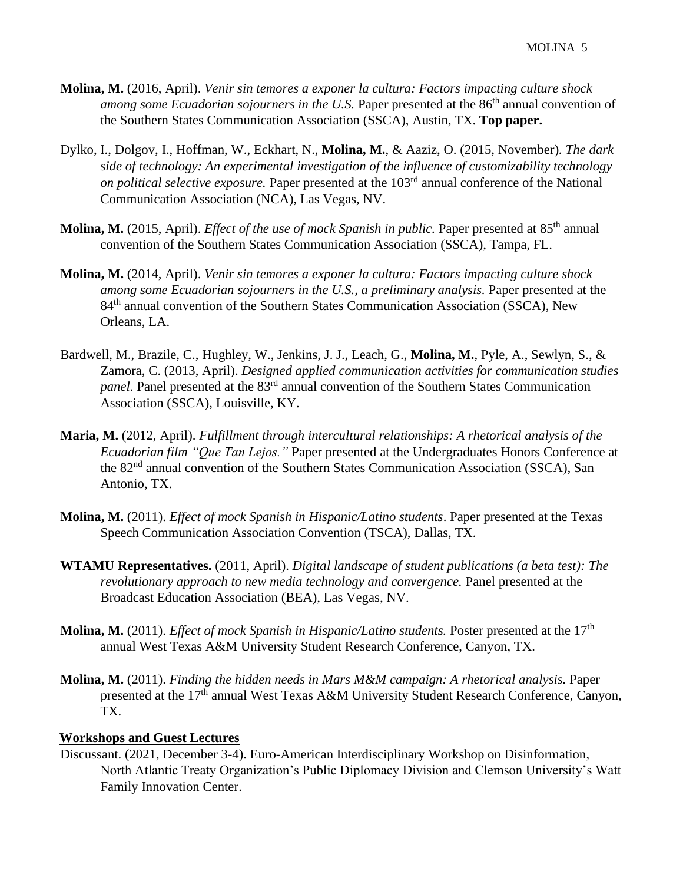- **Molina, M.** (2016, April). *Venir sin temores a exponer la cultura: Factors impacting culture shock among some Ecuadorian sojourners in the U.S.* Paper presented at the 86<sup>th</sup> annual convention of the Southern States Communication Association (SSCA), Austin*,* TX. **Top paper.**
- Dylko, I., Dolgov, I., Hoffman, W., Eckhart, N., **Molina, M.**, & Aaziz, O. (2015, November)*. The dark side of technology: An experimental investigation of the influence of customizability technology on political selective exposure.* Paper presented at the 103rd annual conference of the National Communication Association (NCA), Las Vegas, NV.
- **Molina, M.** (2015, April). *Effect of the use of mock Spanish in public*. Paper presented at 85<sup>th</sup> annual convention of the Southern States Communication Association (SSCA), Tampa, FL.
- **Molina, M.** (2014, April). *Venir sin temores a exponer la cultura: Factors impacting culture shock among some Ecuadorian sojourners in the U.S., a preliminary analysis.* Paper presented at the 84<sup>th</sup> annual convention of the Southern States Communication Association (SSCA), New Orleans, LA.
- Bardwell, M., Brazile, C., Hughley, W., Jenkins, J. J., Leach, G., **Molina, M.**, Pyle, A., Sewlyn, S., & Zamora, C. (2013, April). *Designed applied communication activities for communication studies panel*. Panel presented at the 83<sup>rd</sup> annual convention of the Southern States Communication Association (SSCA), Louisville, KY.
- **Maria, M.** (2012, April). *Fulfillment through intercultural relationships: A rhetorical analysis of the Ecuadorian film "Que Tan Lejos."* Paper presented at the Undergraduates Honors Conference at the 82<sup>nd</sup> annual convention of the Southern States Communication Association (SSCA), San Antonio, TX.
- **Molina, M.** (2011). *Effect of mock Spanish in Hispanic/Latino students*. Paper presented at the Texas Speech Communication Association Convention (TSCA), Dallas, TX.
- **WTAMU Representatives.** (2011, April). *Digital landscape of student publications (a beta test): The revolutionary approach to new media technology and convergence.* Panel presented at the Broadcast Education Association (BEA), Las Vegas, NV.
- **Molina, M.** (2011). *Effect of mock Spanish in Hispanic/Latino students.* Poster presented at the 17th annual West Texas A&M University Student Research Conference, Canyon, TX.
- **Molina, M.** (2011). *Finding the hidden needs in Mars M&M campaign: A rhetorical analysis.* Paper presented at the 17<sup>th</sup> annual West Texas A&M University Student Research Conference, Canyon, TX.

## **Workshops and Guest Lectures**

Discussant. (2021, December 3-4). Euro-American Interdisciplinary Workshop on Disinformation, North Atlantic Treaty Organization's Public Diplomacy Division and Clemson University's Watt Family Innovation Center.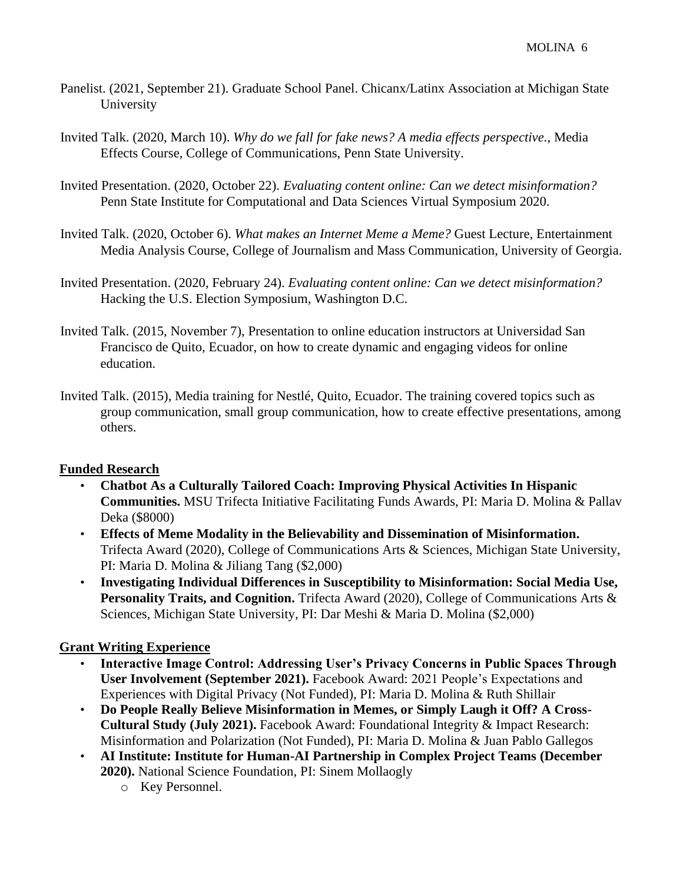- Panelist. (2021, September 21). Graduate School Panel. Chicanx/Latinx Association at Michigan State University
- Invited Talk. (2020, March 10). *Why do we fall for fake news? A media effects perspective.*, Media Effects Course, College of Communications, Penn State University.
- Invited Presentation. (2020, October 22). *Evaluating content online: Can we detect misinformation?* Penn State Institute for Computational and Data Sciences Virtual Symposium 2020.
- Invited Talk. (2020, October 6). *What makes an Internet Meme a Meme?* Guest Lecture, Entertainment Media Analysis Course, College of Journalism and Mass Communication, University of Georgia.
- Invited Presentation. (2020, February 24). *Evaluating content online: Can we detect misinformation?* Hacking the U.S. Election Symposium, Washington D.C.
- Invited Talk. (2015, November 7), Presentation to online education instructors at Universidad San Francisco de Quito, Ecuador, on how to create dynamic and engaging videos for online education.
- Invited Talk. (2015), Media training for Nestlé, Quito, Ecuador. The training covered topics such as group communication, small group communication, how to create effective presentations, among others.

## **Funded Research**

- **Chatbot As a Culturally Tailored Coach: Improving Physical Activities In Hispanic Communities.** MSU Trifecta Initiative Facilitating Funds Awards, PI: Maria D. Molina & Pallav Deka (\$8000)
- **Effects of Meme Modality in the Believability and Dissemination of Misinformation.**  Trifecta Award (2020), College of Communications Arts & Sciences, Michigan State University, PI: Maria D. Molina & Jiliang Tang (\$2,000)
- **Investigating Individual Differences in Susceptibility to Misinformation: Social Media Use,**  Personality Traits, and Cognition. Trifecta Award (2020), College of Communications Arts & Sciences, Michigan State University, PI: Dar Meshi & Maria D. Molina (\$2,000)

## **Grant Writing Experience**

- **Interactive Image Control: Addressing User's Privacy Concerns in Public Spaces Through User Involvement (September 2021).** Facebook Award: 2021 People's Expectations and Experiences with Digital Privacy (Not Funded), PI: Maria D. Molina & Ruth Shillair
- **Do People Really Believe Misinformation in Memes, or Simply Laugh it Off? A Cross-Cultural Study (July 2021).** Facebook Award: Foundational Integrity & Impact Research: Misinformation and Polarization (Not Funded), PI: Maria D. Molina & Juan Pablo Gallegos
- **AI Institute: Institute for Human-AI Partnership in Complex Project Teams (December 2020).** National Science Foundation, PI: Sinem Mollaogly
	- o Key Personnel.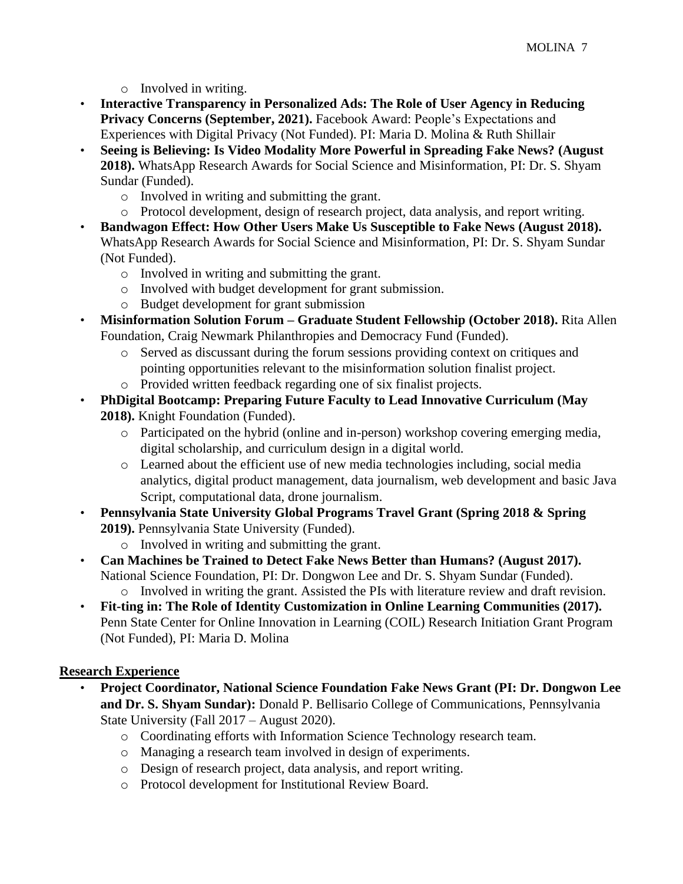- o Involved in writing.
- **Interactive Transparency in Personalized Ads: The Role of User Agency in Reducing Privacy Concerns (September, 2021).** Facebook Award: People's Expectations and Experiences with Digital Privacy (Not Funded). PI: Maria D. Molina & Ruth Shillair
- **Seeing is Believing: Is Video Modality More Powerful in Spreading Fake News? (August 2018).** WhatsApp Research Awards for Social Science and Misinformation, PI: Dr. S. Shyam Sundar (Funded).
	- o Involved in writing and submitting the grant.
	- o Protocol development, design of research project, data analysis, and report writing.
- **Bandwagon Effect: How Other Users Make Us Susceptible to Fake News (August 2018).**  WhatsApp Research Awards for Social Science and Misinformation, PI: Dr. S. Shyam Sundar (Not Funded).
	- o Involved in writing and submitting the grant.
	- o Involved with budget development for grant submission.
	- o Budget development for grant submission
- **Misinformation Solution Forum – Graduate Student Fellowship (October 2018).** Rita Allen Foundation, Craig Newmark Philanthropies and Democracy Fund (Funded).
	- o Served as discussant during the forum sessions providing context on critiques and pointing opportunities relevant to the misinformation solution finalist project.
	- o Provided written feedback regarding one of six finalist projects.
- **PhDigital Bootcamp: Preparing Future Faculty to Lead Innovative Curriculum (May 2018).** Knight Foundation (Funded).
	- o Participated on the hybrid (online and in-person) workshop covering emerging media, digital scholarship, and curriculum design in a digital world.
	- o Learned about the efficient use of new media technologies including, social media analytics, digital product management, data journalism, web development and basic Java Script, computational data, drone journalism.
- **Pennsylvania State University Global Programs Travel Grant (Spring 2018 & Spring 2019).** Pennsylvania State University (Funded).
	- o Involved in writing and submitting the grant.
- **Can Machines be Trained to Detect Fake News Better than Humans? (August 2017).**  National Science Foundation, PI: Dr. Dongwon Lee and Dr. S. Shyam Sundar (Funded). o Involved in writing the grant. Assisted the PIs with literature review and draft revision.
- **Fit-ting in: The Role of Identity Customization in Online Learning Communities (2017).**  Penn State Center for Online Innovation in Learning (COIL) Research Initiation Grant Program (Not Funded), PI: Maria D. Molina

## **Research Experience**

- **Project Coordinator, National Science Foundation Fake News Grant (PI: Dr. Dongwon Lee and Dr. S. Shyam Sundar):** Donald P. Bellisario College of Communications, Pennsylvania State University (Fall 2017 – August 2020).
	- o Coordinating efforts with Information Science Technology research team.
	- o Managing a research team involved in design of experiments.
	- o Design of research project, data analysis, and report writing.
	- o Protocol development for Institutional Review Board.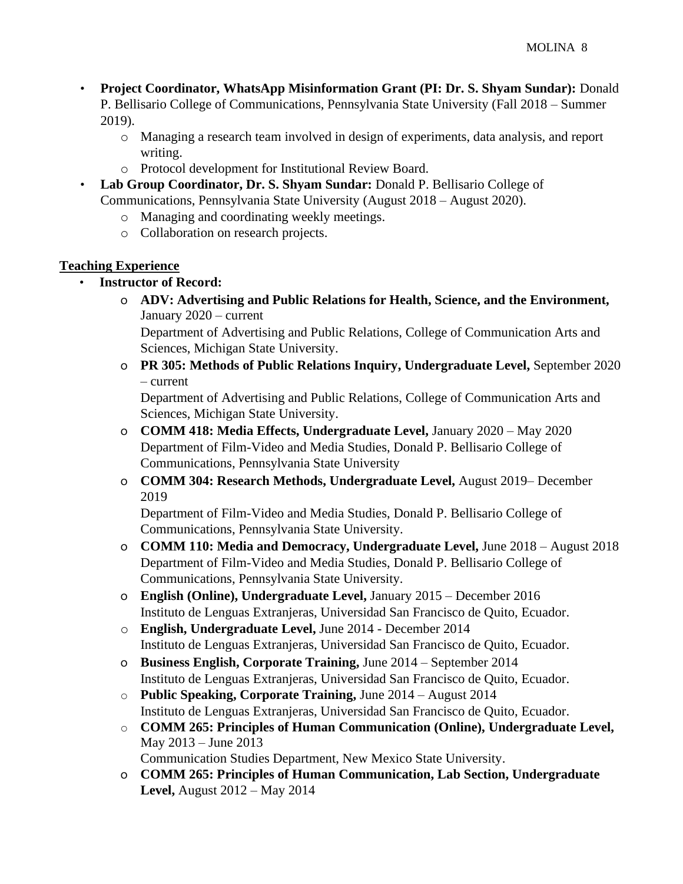- **Project Coordinator, WhatsApp Misinformation Grant (PI: Dr. S. Shyam Sundar):** Donald P. Bellisario College of Communications, Pennsylvania State University (Fall 2018 – Summer 2019).
	- o Managing a research team involved in design of experiments, data analysis, and report writing.
	- o Protocol development for Institutional Review Board.
- **Lab Group Coordinator, Dr. S. Shyam Sundar:** Donald P. Bellisario College of Communications, Pennsylvania State University (August 2018 – August 2020).
	- o Managing and coordinating weekly meetings.
	- o Collaboration on research projects.

## **Teaching Experience**

- **Instructor of Record:**
	- o **ADV: Advertising and Public Relations for Health, Science, and the Environment,**  January 2020 – current

Department of Advertising and Public Relations, College of Communication Arts and Sciences, Michigan State University.

o **PR 305: Methods of Public Relations Inquiry, Undergraduate Level,** September 2020 – current

Department of Advertising and Public Relations, College of Communication Arts and Sciences, Michigan State University.

- o **COMM 418: Media Effects, Undergraduate Level,** January 2020 May 2020 Department of Film-Video and Media Studies, Donald P. Bellisario College of Communications, Pennsylvania State University
- o **COMM 304: Research Methods, Undergraduate Level,** August 2019– December 2019

Department of Film-Video and Media Studies, Donald P. Bellisario College of Communications, Pennsylvania State University.

- o **COMM 110: Media and Democracy, Undergraduate Level,** June 2018 August 2018 Department of Film-Video and Media Studies, Donald P. Bellisario College of Communications, Pennsylvania State University.
- o **English (Online), Undergraduate Level,** January 2015 December 2016 Instituto de Lenguas Extranjeras, Universidad San Francisco de Quito, Ecuador.
- o **English, Undergraduate Level,** June 2014 December 2014 Instituto de Lenguas Extranjeras, Universidad San Francisco de Quito, Ecuador.
- o **Business English, Corporate Training,** June 2014 September 2014 Instituto de Lenguas Extranjeras, Universidad San Francisco de Quito, Ecuador.
- o **Public Speaking, Corporate Training,** June 2014 August 2014 Instituto de Lenguas Extranjeras, Universidad San Francisco de Quito, Ecuador.
- o **COMM 265: Principles of Human Communication (Online), Undergraduate Level,** May 2013 – June 2013

Communication Studies Department, New Mexico State University.

o **COMM 265: Principles of Human Communication, Lab Section, Undergraduate Level,** August 2012 – May 2014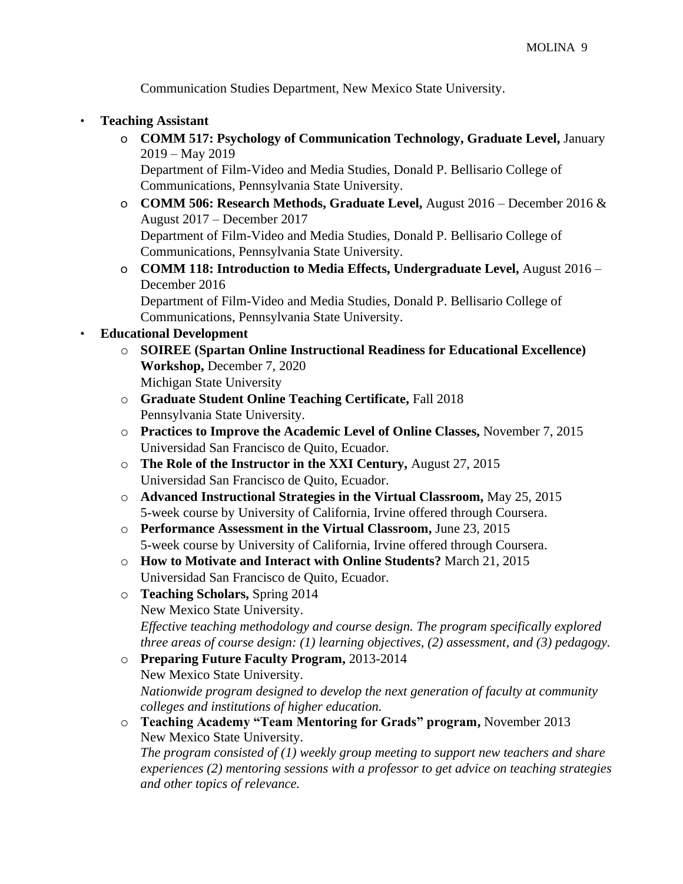Communication Studies Department, New Mexico State University.

## • **Teaching Assistant**

o **COMM 517: Psychology of Communication Technology, Graduate Level,** January 2019 – May 2019

Department of Film-Video and Media Studies, Donald P. Bellisario College of Communications, Pennsylvania State University.

- o **COMM 506: Research Methods, Graduate Level,** August 2016 December 2016 & August 2017 – December 2017 Department of Film-Video and Media Studies, Donald P. Bellisario College of
- Communications, Pennsylvania State University. o **COMM 118: Introduction to Media Effects, Undergraduate Level,** August 2016 – December 2016

Department of Film-Video and Media Studies, Donald P. Bellisario College of Communications, Pennsylvania State University.

#### • **Educational Development**

- o **SOIREE (Spartan Online Instructional Readiness for Educational Excellence) Workshop,** December 7, 2020 Michigan State University
- o **Graduate Student Online Teaching Certificate,** Fall 2018 Pennsylvania State University.
- o **Practices to Improve the Academic Level of Online Classes,** November 7, 2015 Universidad San Francisco de Quito, Ecuador.
- o **The Role of the Instructor in the XXI Century,** August 27, 2015 Universidad San Francisco de Quito, Ecuador.
- o **Advanced Instructional Strategies in the Virtual Classroom,** May 25, 2015 5-week course by University of California, Irvine offered through Coursera.
- o **Performance Assessment in the Virtual Classroom,** June 23, 2015 5-week course by University of California, Irvine offered through Coursera.
- o **How to Motivate and Interact with Online Students?** March 21, 2015 Universidad San Francisco de Quito, Ecuador.
- o **Teaching Scholars,** Spring 2014 New Mexico State University. *Effective teaching methodology and course design. The program specifically explored three areas of course design: (1) learning objectives, (2) assessment, and (3) pedagogy.*
- o **Preparing Future Faculty Program,** 2013-2014 New Mexico State University. *Nationwide program designed to develop the next generation of faculty at community colleges and institutions of higher education.*
- o **Teaching Academy "Team Mentoring for Grads" program,** November 2013 New Mexico State University.

*The program consisted of (1) weekly group meeting to support new teachers and share experiences (2) mentoring sessions with a professor to get advice on teaching strategies and other topics of relevance.*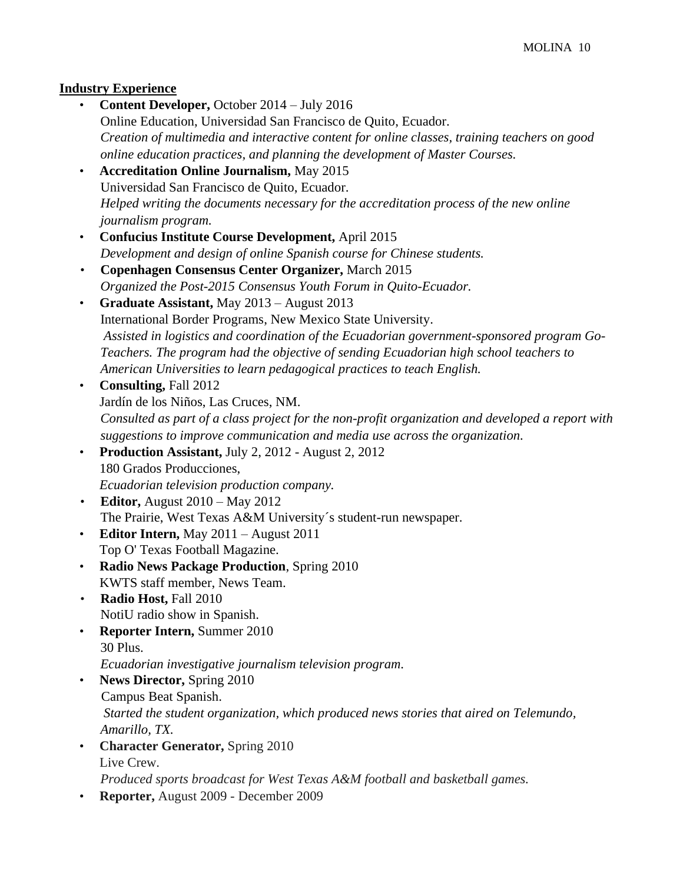## **Industry Experience**

• **Content Developer,** October 2014 – July 2016 Online Education, Universidad San Francisco de Quito, Ecuador. *Creation of multimedia and interactive content for online classes, training teachers on good online education practices, and planning the development of Master Courses.*  • **Accreditation Online Journalism,** May 2015 Universidad San Francisco de Quito, Ecuador. *Helped writing the documents necessary for the accreditation process of the new online journalism program.* • **Confucius Institute Course Development,** April 2015 *Development and design of online Spanish course for Chinese students.*  • **Copenhagen Consensus Center Organizer,** March 2015 *Organized the Post-2015 Consensus Youth Forum in Quito-Ecuador.*  • **Graduate Assistant,** May 2013 – August 2013 International Border Programs, New Mexico State University. *Assisted in logistics and coordination of the Ecuadorian government-sponsored program Go-Teachers. The program had the objective of sending Ecuadorian high school teachers to American Universities to learn pedagogical practices to teach English.*  • **Consulting,** Fall 2012 Jardín de los Niños, Las Cruces, NM. *Consulted as part of a class project for the non-profit organization and developed a report with suggestions to improve communication and media use across the organization.* • **Production Assistant,** July 2, 2012 - August 2, 2012 180 Grados Producciones, *Ecuadorian television production company.*  • **Editor,** August 2010 – May 2012 The Prairie, West Texas A&M University´s student-run newspaper. • **Editor Intern,** May 2011 – August 2011 Top O' Texas Football Magazine. • **Radio News Package Production**, Spring 2010 KWTS staff member, News Team. • **Radio Host,** Fall 2010 NotiU radio show in Spanish. • **Reporter Intern,** Summer 2010 30 Plus. *Ecuadorian investigative journalism television program.* • **News Director,** Spring 2010 Campus Beat Spanish. *Started the student organization, which produced news stories that aired on Telemundo, Amarillo, TX.*  • **Character Generator,** Spring 2010 Live Crew. *Produced sports broadcast for West Texas A&M football and basketball games.* • **Reporter,** August 2009 - December 2009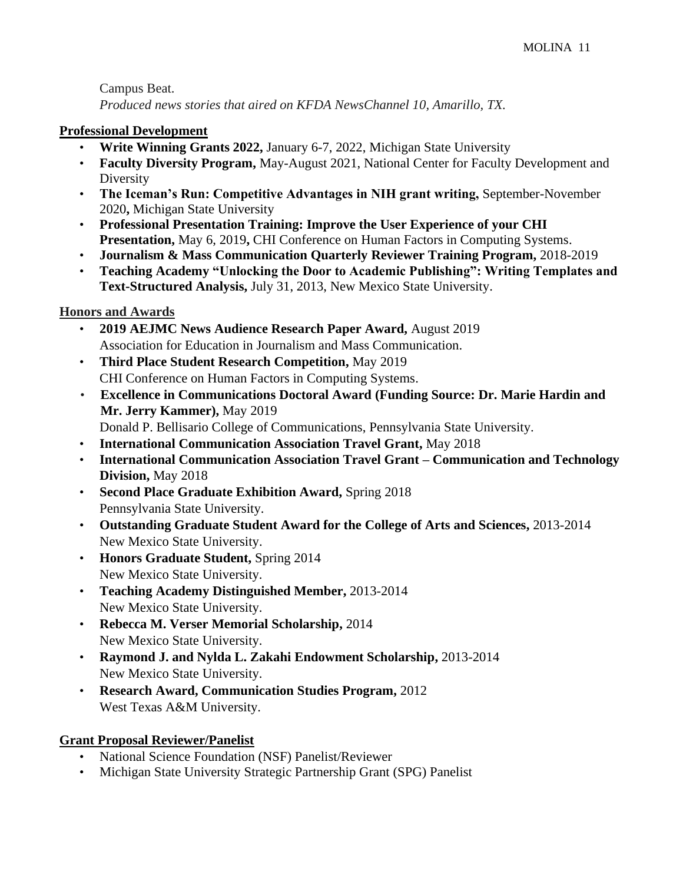Campus Beat. *Produced news stories that aired on KFDA NewsChannel 10, Amarillo, TX.* 

#### **Professional Development**

- **Write Winning Grants 2022,** January 6-7, 2022, Michigan State University
- **Faculty Diversity Program,** May-August 2021, National Center for Faculty Development and Diversity
- **The Iceman's Run: Competitive Advantages in NIH grant writing,** September-November 2020**,** Michigan State University
- **Professional Presentation Training: Improve the User Experience of your CHI Presentation,** May 6, 2019, CHI Conference on Human Factors in Computing Systems.
- **Journalism & Mass Communication Quarterly Reviewer Training Program,** 2018-2019
- **Teaching Academy "Unlocking the Door to Academic Publishing": Writing Templates and Text-Structured Analysis,** July 31, 2013, New Mexico State University.

## **Honors and Awards**

- **2019 AEJMC News Audience Research Paper Award,** August 2019 Association for Education in Journalism and Mass Communication.
- **Third Place Student Research Competition,** May 2019 CHI Conference on Human Factors in Computing Systems.
- **Excellence in Communications Doctoral Award (Funding Source: Dr. Marie Hardin and Mr. Jerry Kammer),** May 2019 Donald P. Bellisario College of Communications, Pennsylvania State University.
- **International Communication Association Travel Grant,** May 2018
- **International Communication Association Travel Grant – Communication and Technology Division,** May 2018
- **Second Place Graduate Exhibition Award,** Spring 2018 Pennsylvania State University.
- **Outstanding Graduate Student Award for the College of Arts and Sciences,** 2013-2014 New Mexico State University.
- **Honors Graduate Student,** Spring 2014 New Mexico State University.
- **Teaching Academy Distinguished Member,** 2013-2014 New Mexico State University.
- **Rebecca M. Verser Memorial Scholarship,** 2014 New Mexico State University.
- **Raymond J. and Nylda L. Zakahi Endowment Scholarship,** 2013-2014 New Mexico State University.
- **Research Award, Communication Studies Program,** 2012 West Texas A&M University.

## **Grant Proposal Reviewer/Panelist**

- National Science Foundation (NSF) Panelist/Reviewer
- Michigan State University Strategic Partnership Grant (SPG) Panelist